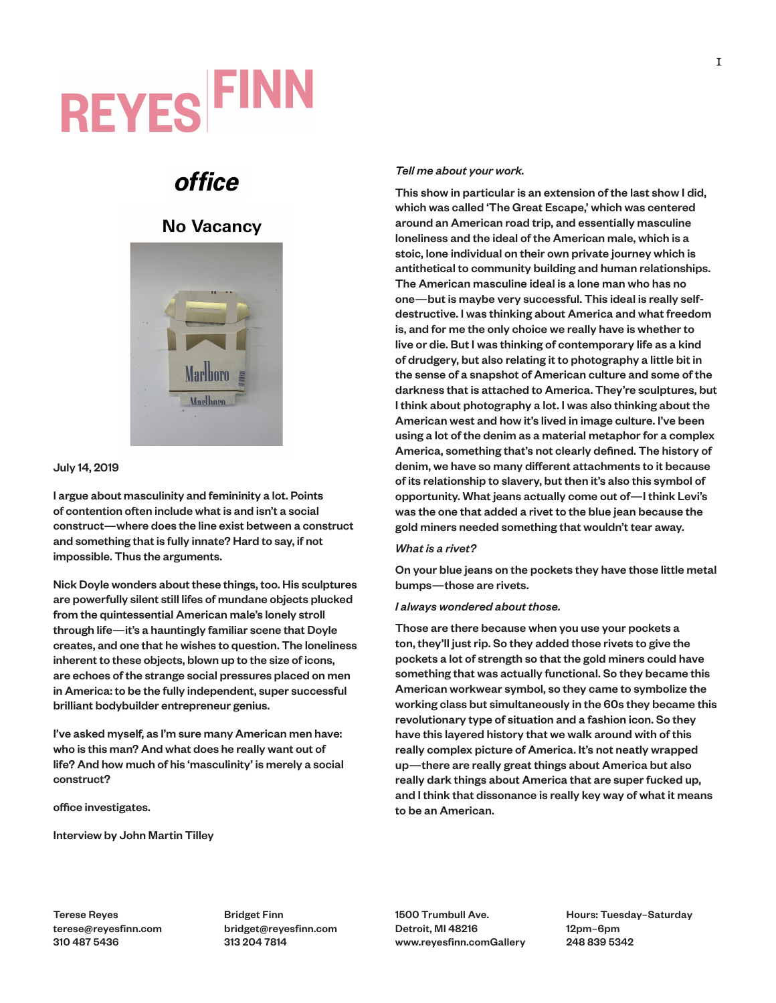# **REYES FINN**

## **office**

## **No Vacancy**



## July 14, 2019

I argue about masculinity and femininity a lot. Points of contention often include what is and isn't a social construct—where does the line exist between a construct and something that is fully innate? Hard to say, if not impossible. Thus the arguments.

Nick Doyle wonders about these things, too. His sculptures are powerfully silent still lifes of mundane objects plucked from the quintessential American male's lonely stroll through life—it's a hauntingly familiar scene that Doyle creates, and one that he wishes to question. The loneliness inherent to these objects, blown up to the size of icons, are echoes of the strange social pressures placed on men in America: to be the fully independent, super successful brilliant bodybuilder entrepreneur genius.

I've asked myself, as I'm sure many American men have: who is this man? And what does he really want out of life? And how much of his 'masculinity' is merely a social construct?

office investigates.

Interview by John Martin Tilley

## *Tell me about your work.*

This show in particular is an extension of the last show I did, which was called 'The Great Escape,' which was centered around an American road trip, and essentially masculine loneliness and the ideal of the American male, which is a stoic, lone individual on their own private journey which is antithetical to community building and human relationships. The American masculine ideal is a lone man who has no one—but is maybe very successful. This ideal is really selfdestructive. I was thinking about America and what freedom is, and for me the only choice we really have is whether to live or die. But I was thinking of contemporary life as a kind of drudgery, but also relating it to photography a little bit in the sense of a snapshot of American culture and some of the darkness that is attached to America. They're sculptures, but I think about photography a lot. I was also thinking about the American west and how it's lived in image culture. I've been using a lot of the denim as a material metaphor for a complex America, something that's not clearly defined. The history of denim, we have so many different attachments to it because of its relationship to slavery, but then it's also this symbol of opportunity. What jeans actually come out of—I think Levi's was the one that added a rivet to the blue jean because the gold miners needed something that wouldn't tear away.

### *What is a rivet?*

On your blue jeans on the pockets they have those little metal bumps—those are rivets.

### *I always wondered about those.*

Those are there because when you use your pockets a ton, they'll just rip. So they added those rivets to give the pockets a lot of strength so that the gold miners could have something that was actually functional. So they became this American workwear symbol, so they came to symbolize the working class but simultaneously in the 60s they became this revolutionary type of situation and a fashion icon. So they have this layered history that we walk around with of this really complex picture of America. It's not neatly wrapped up—there are really great things about America but also really dark things about America that are super fucked up, and I think that dissonance is really key way of what it means to be an American.

Terese Reyes terese@reyesfinn.com 310 487 5436

Bridget Finn bridget@reyesfinn.com 313 204 7814

1500 Trumbull Ave. Detroit, MI 48216 www.reyesfinn.comGallery Hours: Tuesday–Saturday 12pm–6pm 248 839 5342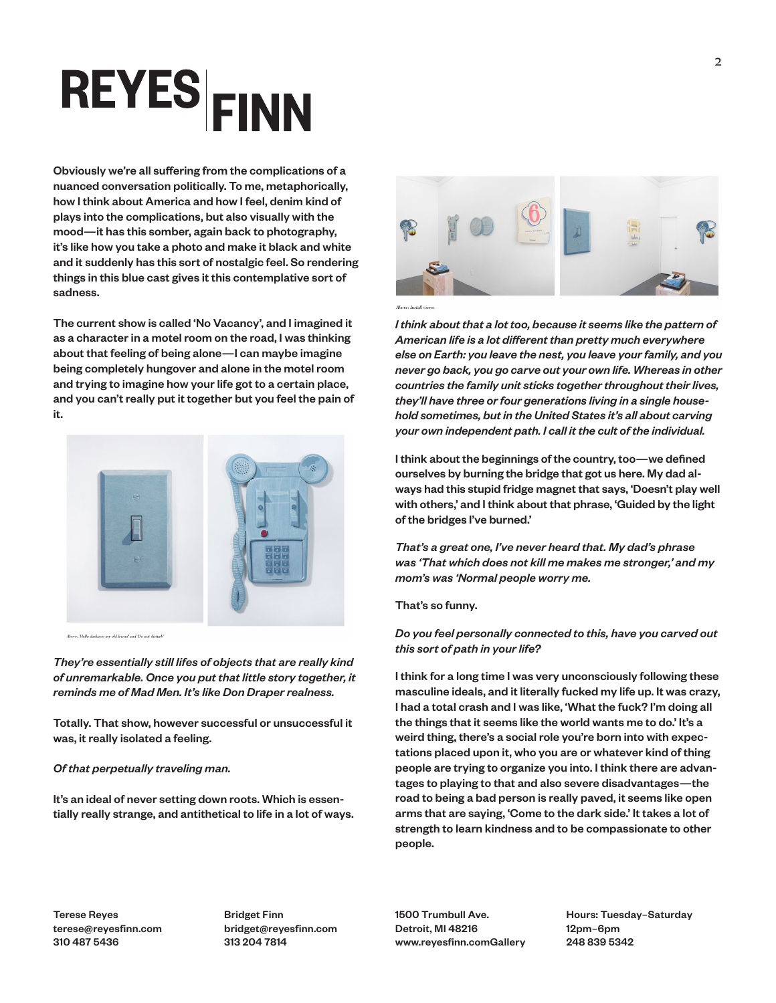## **REYES**EINN

Obviously we're all suffering from the complications of a nuanced conversation politically. To me, metaphorically, how I think about America and how I feel, denim kind of plays into the complications, but also visually with the mood—it has this somber, again back to photography, it's like how you take a photo and make it black and white and it suddenly has this sort of nostalgic feel. So rendering things in this blue cast gives it this contemplative sort of sadness.

The current show is called 'No Vacancy', and I imagined it as a character in a motel room on the road, I was thinking about that feeling of being alone—I can maybe imagine being completely hungover and alone in the motel room and trying to imagine how your life got to a certain place, and you can't really put it together but you feel the pain of it.



.<br>Above: 'Hello darkness my old friend' and 'Do not disturb'

*They're essentially still lifes of objects that are really kind of unremarkable. Once you put that little story together, it reminds me of Mad Men. It's like Don Draper realness.*

Totally. That show, however successful or unsuccessful it was, it really isolated a feeling.

### *Of that perpetually traveling man.*

It's an ideal of never setting down roots. Which is essentially really strange, and antithetical to life in a lot of ways.



*I think about that a lot too, because it seems like the pattern of American life is a lot different than pretty much everywhere else on Earth: you leave the nest, you leave your family, and you never go back, you go carve out your own life. Whereas in other countries the family unit sticks together throughout their lives, they'll have three or four generations living in a single household sometimes, but in the United States it's all about carving your own independent path. I call it the cult of the individual.*

I think about the beginnings of the country, too—we defined ourselves by burning the bridge that got us here. My dad always had this stupid fridge magnet that says, 'Doesn't play well with others,' and I think about that phrase, 'Guided by the light of the bridges I've burned.'

*That's a great one, I've never heard that. My dad's phrase was 'That which does not kill me makes me stronger,' and my mom's was 'Normal people worry me.*

## That's so funny.

## *Do you feel personally connected to this, have you carved out this sort of path in your life?*

I think for a long time I was very unconsciously following these masculine ideals, and it literally fucked my life up. It was crazy, I had a total crash and I was like, 'What the fuck? I'm doing all the things that it seems like the world wants me to do.' It's a weird thing, there's a social role you're born into with expectations placed upon it, who you are or whatever kind of thing people are trying to organize you into. I think there are advantages to playing to that and also severe disadvantages—the road to being a bad person is really paved, it seems like open arms that are saying, 'Come to the dark side.' It takes a lot of strength to learn kindness and to be compassionate to other people.

Terese Reyes terese@reyesfinn.com 310 487 5436

Bridget Finn bridget@reyesfinn.com 313 204 7814

1500 Trumbull Ave. Detroit, MI 48216 www.reyesfinn.comGallery Hours: Tuesday–Saturday 12pm–6pm 248 839 5342